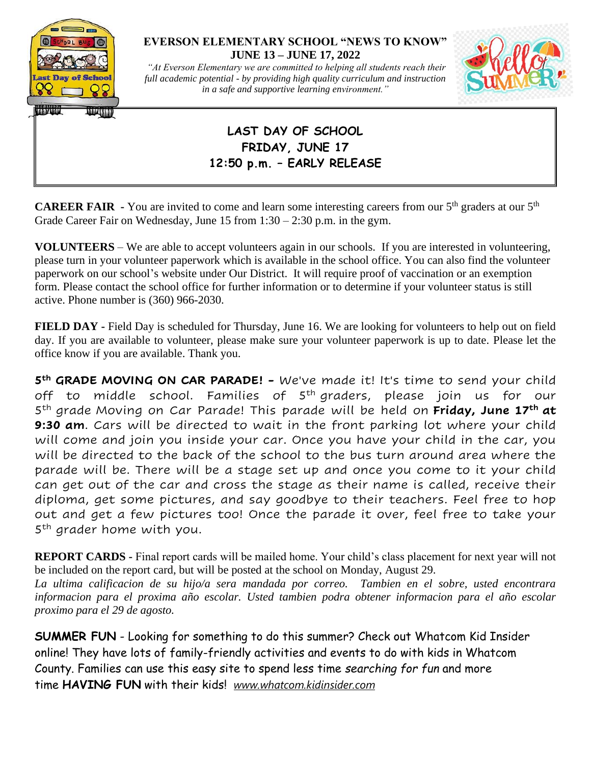

## **EVERSON ELEMENTARY SCHOOL "NEWS TO KNOW" JUNE 13 – JUNE 17, 2022**

*"At Everson Elementary we are committed to helping all students reach their full academic potential - by providing high quality curriculum and instruction in a safe and supportive learning environment."*



## **LAST DAY OF SCHOOL FRIDAY, JUNE 17 12:50 p.m. – EARLY RELEASE**

**CAREER FAIR**  $\cdot$  You are invited to come and learn some interesting careers from our 5<sup>th</sup> graders at our 5<sup>th</sup> Grade Career Fair on Wednesday, June 15 from 1:30 – 2:30 p.m. in the gym.

**VOLUNTEERS** – We are able to accept volunteers again in our schools. If you are interested in volunteering, please turn in your volunteer paperwork which is available in the school office. You can also find the volunteer paperwork on our school's website under Our District. It will require proof of vaccination or an exemption form. Please contact the school office for further information or to determine if your volunteer status is still active. Phone number is (360) 966-2030.

**FIELD DAY -** Field Day is scheduled for Thursday, June 16. We are looking for volunteers to help out on field day. If you are available to volunteer, please make sure your volunteer paperwork is up to date. Please let the office know if you are available. Thank you.

**5 th GRADE MOVING ON CAR PARADE! -** We've made it! It's time to send your child off to middle school. Families of 5<sup>th</sup>-graders, please join us for our 5 th grade Moving on Car Parade! This parade will be held on **Friday, June 17th at 9:30 am**. Cars will be directed to wait in the front parking lot where your child will come and join you inside your car. Once you have your child in the car, you will be directed to the back of the school to the bus turn around area where the parade will be. There will be a stage set up and once you come to it your child can get out of the car and cross the stage as their name is called, receive their diploma, get some pictures, and say goodbye to their teachers. Feel free to hop out and get a few pictures too! Once the parade it over, feel free to take your 5<sup>th</sup> grader home with you.

**REPORT CARDS -** Final report cards will be mailed home. Your child's class placement for next year will not be included on the report card, but will be posted at the school on Monday, August 29.

*La ultima calificacion de su hijo/a sera mandada por correo. Tambien en el sobre, usted encontrara informacion para el proxima año escolar. Usted tambien podra obtener informacion para el año escolar proximo para el 29 de agosto.* 

**SUMMER FUN** - Looking for something to do this summer? Check out Whatcom Kid Insider online! They have lots of family-friendly activities and events to do with kids in Whatcom County. Families can use this easy site to spend less time *searching for fun* and more time **HAVING FUN** with their kids! *[www.whatcom.kidinsider.com](http://www.whatcom.kidinsider.com/)*